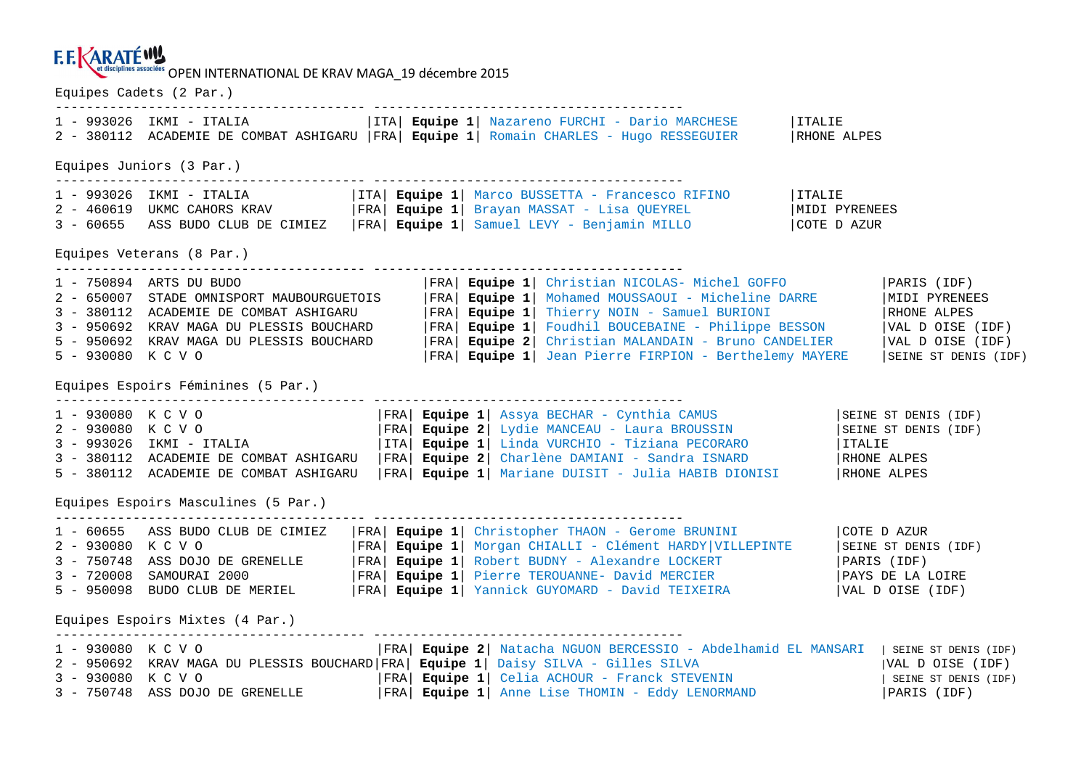## **F.E. KARATÉWY** et disciplines associées OPEN INTERNATIONAL DE KRAV MAGA\_19 décembre 2015

Equipes Cadets (2 Par.) ---------------------------------------- ---------------------------------------- 1 - 993026 IKMI - ITALIA |ITA| **Equipe 1**| Nazareno FURCHI - Dario MARCHESE |ITALIE 2 - 380112 ACADEMIE DE COMBAT ASHIGARU |FRA| **Equipe 1**| Romain CHARLES - Hugo RESSEGUIER |RHONE ALPES Equipes Juniors (3 Par.) ---------------------------------------- ---------------------------------------- 1 - 993026 IKMI - ITALIA |ITA| **Equipe 1**| Marco BUSSETTA - Francesco RIFINO |ITALIE MIDI PYRENEES 2 - 460619 UKMC CAHORS KRAV | FRA| **Equipe 1** Brayan MASSAT - Lisa QUEYREL 3 - 60655 ASS BUDO CLUB DE CIMIEZ |FRA| **Equipe 1**| Samuel LEVY - Benjamin MILLO |COTE D AZUR Equipes Veterans (8 Par.) ---------------------------------------- ---------------------------------------- 1 - 750894 ARTS DU BUDO |FRA| **Equipe 1**| Christian NICOLAS- Michel GOFFO |PARIS (IDF) MIDI PYRENEES 2 - 650007 STADE OMNISPORT MAUBOURGUETOIS | FRA | Equipe 1 | Mohamed MOUSSAOUI - Micheline DARRE 3 - 380112 ACADEMIE DE COMBAT ASHIGARU |FRA| **Equipe 1**| Thierry NOIN - Samuel BURIONI |RHONE ALPES VAL D OISE (IDF) 3 - 950692 KRAV MAGA DU PLESSIS BOUCHARD | FRA | Equipe 1 | Foudhil BOUCEBAINE - Philippe BESSON 5 - 950692 KRAV MAGA DU PLESSIS BOUCHARD |FRA| **Equipe 2**| Christian MALANDAIN - Bruno CANDELIER |VAL D OISE (IDF) 5 - 930080 K C V O |FRA| **Equipe 1**| Jean Pierre FIRPION - Berthelemy MAYERE |SEINE ST DENIS (IDF) Equipes Espoirs Féminines (5 Par.) ---------------------------------------- ---------------------------------------- 1 - 930080 K C V O |FRA | Equipe 1 | Assya BECHAR - Cynthia CAMUS |SEINE ST DENIS (IDF) 2 - 930080 K C V O |FRA| **Equipe 2**| Lydie MANCEAU - Laura BROUSSIN |SEINE ST DENIS (IDF)3 - 993026 IKMI - ITALIA |ITA| **Equipe 1**| Linda VURCHIO - Tiziana PECORARO |ITALIE RHONE ALPES 3 - 380112 ACADEMIE DE COMBAT ASHIGARU | FRA | Equipe 2 | Charlène DAMIANI - Sandra ISNARD 5 - 380112 ACADEMIE DE COMBAT ASHIGARU |FRA| **Equipe 1**| Mariane DUISIT - Julia HABIB DIONISI |RHONE ALPES Equipes Espoirs Masculines (5 Par.) ---------------------------------------- ---------------------------------------- 1 - 60655 ASS BUDO CLUB DE CIMIEZ |FRA| **Equipe 1**| Christopher THAON - Gerome BRUNINI |COTE D AZUR 2 - 930080 K C V O |FRA| **Equipe 1**| Morgan CHIALLI - Clément HARDY|VILLEPINTE |SEINE ST DENIS (IDF)<br>3 - 750748 ASS DOJO DE GRENELLE |FRA| **Equipe 1**| Robert BUDNY - Alexandre LOCKERT | Equipes Espoirs Mixtes (4 Par.) ---------------------------------------- ---------------------------------------- 1 - 930080 K C V O |FRA| **Equipe 2**| Natacha NGUON BERCESSIO - Abdelhamid EL MANSARI | SEINE ST DENIS (IDF)|VAL D OISE (IDF) 2 - 950692 KRAV MAGA DU PLESSIS BOUCHARD|FRA| **Equipe 1**| Daisy SILVA - Gilles SILVA<br>3 - 930080 K C V O |FRA| **Equipe 1**| Celia ACHOUR - Franck STEVENIN | SEINE ST DENIS (IDF) 3 - 930080 K C V O |FRA| **Equipe 1**| Celia ACHOUR - Franck STEVENIN | SEINE ST DENIS (IDF) 3 - 750748 ASS DOJO DE GRENELLE |FRA| **Equipe 1**| Anne Lise THOMIN - Eddy LENORMAND |PARIS (IDF)